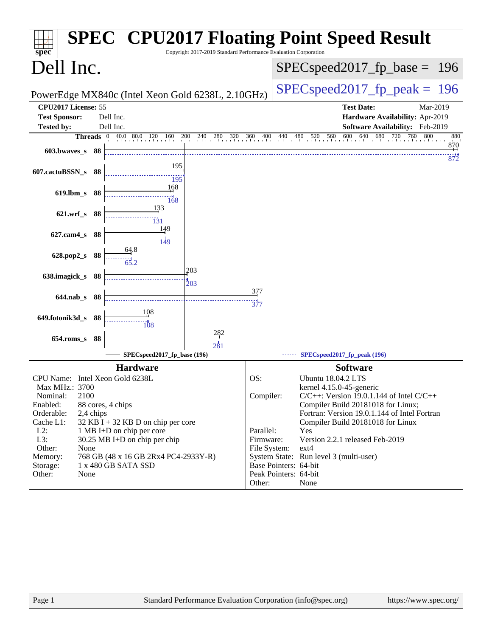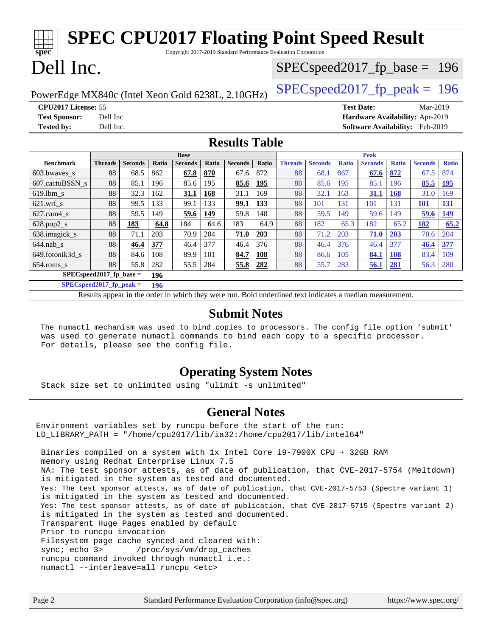| <b>SPEC CPU2017 Floating Point Speed Result</b><br>$spec*$<br>Copyright 2017-2019 Standard Performance Evaluation Corporation |                |                |       |                |       |                |                                 |                |                |              |                |              |                                        |              |
|-------------------------------------------------------------------------------------------------------------------------------|----------------|----------------|-------|----------------|-------|----------------|---------------------------------|----------------|----------------|--------------|----------------|--------------|----------------------------------------|--------------|
| Dell Inc.                                                                                                                     |                |                |       |                |       |                | $SPEC speed2017_fp\_base = 196$ |                |                |              |                |              |                                        |              |
| $SPEC speed2017_fp\_peak = 196$<br>PowerEdge MX840c (Intel Xeon Gold 6238L, 2.10GHz)                                          |                |                |       |                |       |                |                                 |                |                |              |                |              |                                        |              |
| CPU2017 License: 55<br><b>Test Date:</b><br>Mar-2019                                                                          |                |                |       |                |       |                |                                 |                |                |              |                |              |                                        |              |
| <b>Test Sponsor:</b>                                                                                                          | Dell Inc.      |                |       |                |       |                |                                 |                |                |              |                |              | Hardware Availability: Apr-2019        |              |
| <b>Tested by:</b>                                                                                                             | Dell Inc.      |                |       |                |       |                |                                 |                |                |              |                |              | <b>Software Availability:</b> Feb-2019 |              |
| <b>Results Table</b>                                                                                                          |                |                |       |                |       |                |                                 |                |                |              |                |              |                                        |              |
| <b>Base</b>                                                                                                                   |                |                |       |                |       |                |                                 |                | Peak           |              |                |              |                                        |              |
| <b>Benchmark</b>                                                                                                              | <b>Threads</b> | <b>Seconds</b> | Ratio |                |       |                |                                 |                |                |              |                |              |                                        |              |
|                                                                                                                               |                |                |       | <b>Seconds</b> | Ratio | <b>Seconds</b> | Ratio                           | <b>Threads</b> | <b>Seconds</b> | <b>Ratio</b> | <b>Seconds</b> | <b>Ratio</b> | <b>Seconds</b>                         | <b>Ratio</b> |
| 603.bwayes s                                                                                                                  | 88             | 68.5           | 862   | 67.8           | 870   | 67.6           | 872                             | 88             | 68.1           | 867          | 67.6           | 872          | 67.5                                   | 874          |
| 607.cactuBSSN s                                                                                                               | 88             | 85.1           | 196   | 85.6           | 195   | 85.6           | 195                             | 88             | 85.6           | 195          | 85.1           | 196          | 85.5                                   | <u>195</u>   |
| $619.$ lbm_s                                                                                                                  | 88             | 32.3           | 162   | 31.1           | 168   | 31.1           | 169                             | 88             | 32.1           | 163          | 31.1           | <b>168</b>   | 31.0                                   | 169          |
| $621.wrf$ <sub>s</sub>                                                                                                        | 88             | 99.5           | 133   | 99.1           | 133   | <u>99.1</u>    | 133                             | 88             | 101            | 131          | 101            | 131          | 101                                    | <u>131</u>   |
| $627.cam4_s$                                                                                                                  | 88             | 59.5           | 149   | 59.6           | 149   | 59.8           | 148                             | 88             | 59.5           | 149          | 59.6           | 149          | 59.6                                   | 149          |
| 628.pop2_s                                                                                                                    | 88             | 183            | 64.8  | 184            | 64.6  | 183            | 64.9                            | 88             | 182            | 65.3         | 182            | 65.2         | 182                                    | 65.2         |
| 638.imagick_s                                                                                                                 | 88             | 71.1           | 203   | 70.9           | 204   | 71.0           | <b>203</b>                      | 88             | 71.2           | 203          | 71.0           | 203          | 70.6                                   | 204          |
| $644$ .nab s                                                                                                                  | 88             | 46.4           | 377   | 46.4           | 377   | 46.4           | 376                             | 88             | 46.4           | 376          | 46.4           | 377          | 46.4                                   | 377          |
| 649.fotonik3d s                                                                                                               | 88             | 84.6           | 108   | 89.9           | 101   | 84.7           | <b>108</b>                      | 88             | 86.6           | 105          | 84.1           | 108          | 83.4                                   | 109          |

**[SPECspeed2017\\_fp\\_base =](http://www.spec.org/auto/cpu2017/Docs/result-fields.html#SPECspeed2017fpbase) 196 [SPECspeed2017\\_fp\\_peak =](http://www.spec.org/auto/cpu2017/Docs/result-fields.html#SPECspeed2017fppeak) 196**

Results appear in the [order in which they were run.](http://www.spec.org/auto/cpu2017/Docs/result-fields.html#RunOrder) Bold underlined text [indicates a median measurement](http://www.spec.org/auto/cpu2017/Docs/result-fields.html#Median).

#### **[Submit Notes](http://www.spec.org/auto/cpu2017/Docs/result-fields.html#SubmitNotes)**

 The numactl mechanism was used to bind copies to processors. The config file option 'submit' was used to generate numactl commands to bind each copy to a specific processor. For details, please see the config file.

## **[Operating System Notes](http://www.spec.org/auto/cpu2017/Docs/result-fields.html#OperatingSystemNotes)**

Stack size set to unlimited using "ulimit -s unlimited"

#### **[General Notes](http://www.spec.org/auto/cpu2017/Docs/result-fields.html#GeneralNotes)**

Environment variables set by runcpu before the start of the run: LD LIBRARY PATH = "/home/cpu2017/lib/ia32:/home/cpu2017/lib/intel64"

 Binaries compiled on a system with 1x Intel Core i9-7900X CPU + 32GB RAM memory using Redhat Enterprise Linux 7.5 NA: The test sponsor attests, as of date of publication, that CVE-2017-5754 (Meltdown) is mitigated in the system as tested and documented. Yes: The test sponsor attests, as of date of publication, that CVE-2017-5753 (Spectre variant 1) is mitigated in the system as tested and documented. Yes: The test sponsor attests, as of date of publication, that CVE-2017-5715 (Spectre variant 2) is mitigated in the system as tested and documented. Transparent Huge Pages enabled by default Prior to runcpu invocation Filesystem page cache synced and cleared with: sync; echo 3> /proc/sys/vm/drop\_caches runcpu command invoked through numactl i.e.: numactl --interleave=all runcpu <etc>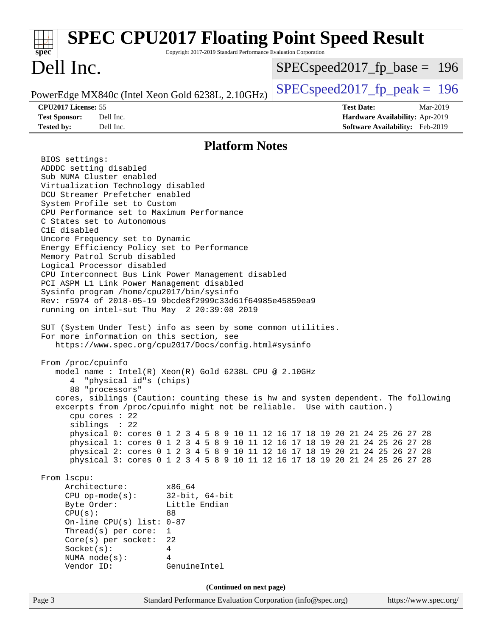| <b>SPEC CPU2017 Floating Point Speed Result</b><br>Copyright 2017-2019 Standard Performance Evaluation Corporation<br>$spec^*$                                                                                                                                                                                                                                                                                                                                                                                                                                                                                                                                                                                                                                                                                                                                                                                                                                                                                                                                                                                                                                                                                                                                                                                                                                                                                                                                                                                                                                                                                                                                                                                                                                                                                                                              |                                                                                                     |
|-------------------------------------------------------------------------------------------------------------------------------------------------------------------------------------------------------------------------------------------------------------------------------------------------------------------------------------------------------------------------------------------------------------------------------------------------------------------------------------------------------------------------------------------------------------------------------------------------------------------------------------------------------------------------------------------------------------------------------------------------------------------------------------------------------------------------------------------------------------------------------------------------------------------------------------------------------------------------------------------------------------------------------------------------------------------------------------------------------------------------------------------------------------------------------------------------------------------------------------------------------------------------------------------------------------------------------------------------------------------------------------------------------------------------------------------------------------------------------------------------------------------------------------------------------------------------------------------------------------------------------------------------------------------------------------------------------------------------------------------------------------------------------------------------------------------------------------------------------------|-----------------------------------------------------------------------------------------------------|
| Dell Inc.                                                                                                                                                                                                                                                                                                                                                                                                                                                                                                                                                                                                                                                                                                                                                                                                                                                                                                                                                                                                                                                                                                                                                                                                                                                                                                                                                                                                                                                                                                                                                                                                                                                                                                                                                                                                                                                   | $SPEC speed2017_f p\_base = 196$                                                                    |
| PowerEdge MX840c (Intel Xeon Gold 6238L, 2.10GHz)                                                                                                                                                                                                                                                                                                                                                                                                                                                                                                                                                                                                                                                                                                                                                                                                                                                                                                                                                                                                                                                                                                                                                                                                                                                                                                                                                                                                                                                                                                                                                                                                                                                                                                                                                                                                           | $SPEC speed2017_fp\_peak = 196$                                                                     |
| CPU2017 License: 55<br><b>Test Sponsor:</b><br>Dell Inc.<br><b>Tested by:</b><br>Dell Inc.                                                                                                                                                                                                                                                                                                                                                                                                                                                                                                                                                                                                                                                                                                                                                                                                                                                                                                                                                                                                                                                                                                                                                                                                                                                                                                                                                                                                                                                                                                                                                                                                                                                                                                                                                                  | <b>Test Date:</b><br>Mar-2019<br>Hardware Availability: Apr-2019<br>Software Availability: Feb-2019 |
| <b>Platform Notes</b>                                                                                                                                                                                                                                                                                                                                                                                                                                                                                                                                                                                                                                                                                                                                                                                                                                                                                                                                                                                                                                                                                                                                                                                                                                                                                                                                                                                                                                                                                                                                                                                                                                                                                                                                                                                                                                       |                                                                                                     |
| BIOS settings:<br>ADDDC setting disabled<br>Sub NUMA Cluster enabled<br>Virtualization Technology disabled<br>DCU Streamer Prefetcher enabled<br>System Profile set to Custom<br>CPU Performance set to Maximum Performance<br>C States set to Autonomous<br>C1E disabled<br>Uncore Frequency set to Dynamic<br>Energy Efficiency Policy set to Performance<br>Memory Patrol Scrub disabled<br>Logical Processor disabled<br>CPU Interconnect Bus Link Power Management disabled<br>PCI ASPM L1 Link Power Management disabled<br>Sysinfo program /home/cpu2017/bin/sysinfo<br>Rev: r5974 of 2018-05-19 9bcde8f2999c33d61f64985e45859ea9<br>running on intel-sut Thu May 2 20:39:08 2019<br>SUT (System Under Test) info as seen by some common utilities.<br>For more information on this section, see<br>https://www.spec.org/cpu2017/Docs/config.html#sysinfo<br>From /proc/cpuinfo<br>model name: $Intel(R)$ Xeon $(R)$ Gold 6238L CPU @ 2.10GHz<br>"physical id"s (chips)<br>88 "processors"<br>cores, siblings (Caution: counting these is hw and system dependent. The following<br>excerpts from /proc/cpuinfo might not be reliable. Use with caution.)<br>cpu cores $: 22$<br>siblings : 22<br>physical 0: cores 0 1 2 3 4 5 8 9 10 11 12 16 17 18 19 20 21 24 25 26 27 28<br>physical 1: cores 0 1 2 3 4 5 8 9 10 11 12 16 17 18 19 20 21 24 25 26 27 28<br>physical 2: cores 0 1 2 3 4 5 8 9 10 11 12 16 17 18 19 20 21 24 25 26 27 28<br>physical 3: cores 0 1 2 3 4 5 8 9 10 11 12 16 17 18 19 20 21 24 25 26 27 28<br>From lscpu:<br>Architecture:<br>x86 64<br>$32$ -bit, $64$ -bit<br>$CPU$ op-mode( $s$ ):<br>Byte Order:<br>Little Endian<br>CPU(s):<br>88<br>On-line CPU(s) list: $0-87$<br>Thread(s) per core:<br>1<br>22<br>Core(s) per socket:<br>Socket(s):<br>$\overline{4}$<br>4<br>NUMA $node(s):$<br>Vendor ID:<br>GenuineIntel |                                                                                                     |
| (Continued on next page)<br>Standard Performance Evaluation Corporation (info@spec.org)<br>Page 3                                                                                                                                                                                                                                                                                                                                                                                                                                                                                                                                                                                                                                                                                                                                                                                                                                                                                                                                                                                                                                                                                                                                                                                                                                                                                                                                                                                                                                                                                                                                                                                                                                                                                                                                                           | https://www.spec.org/                                                                               |
|                                                                                                                                                                                                                                                                                                                                                                                                                                                                                                                                                                                                                                                                                                                                                                                                                                                                                                                                                                                                                                                                                                                                                                                                                                                                                                                                                                                                                                                                                                                                                                                                                                                                                                                                                                                                                                                             |                                                                                                     |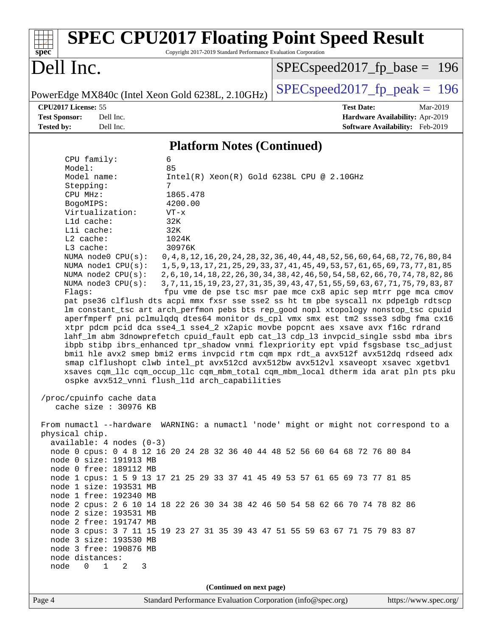| spec                                                                                                   | <b>SPEC CPU2017 Floating Point Speed Result</b><br>Copyright 2017-2019 Standard Performance Evaluation Corporation                                                          |
|--------------------------------------------------------------------------------------------------------|-----------------------------------------------------------------------------------------------------------------------------------------------------------------------------|
| Dell Inc.                                                                                              | $SPEC speed2017_f p\_base = 196$                                                                                                                                            |
| PowerEdge MX840c (Intel Xeon Gold 6238L, 2.10GHz)                                                      | $SPEC speed2017_fp\_peak = 196$                                                                                                                                             |
| CPU2017 License: 55                                                                                    | <b>Test Date:</b><br>Mar-2019                                                                                                                                               |
| <b>Test Sponsor:</b><br>Dell Inc.                                                                      | Hardware Availability: Apr-2019                                                                                                                                             |
| Dell Inc.<br><b>Tested by:</b>                                                                         | Software Availability: Feb-2019                                                                                                                                             |
|                                                                                                        | <b>Platform Notes (Continued)</b>                                                                                                                                           |
| 6<br>CPU family:<br>85                                                                                 |                                                                                                                                                                             |
| Model:<br>Model name:                                                                                  | $Intel(R) Xeon(R) Gold 6238L CPU @ 2.10GHz$                                                                                                                                 |
| 7<br>Stepping:                                                                                         |                                                                                                                                                                             |
| CPU MHz:<br>1865.478                                                                                   |                                                                                                                                                                             |
| BogoMIPS:<br>4200.00                                                                                   |                                                                                                                                                                             |
| Virtualization:<br>$VT - x$                                                                            |                                                                                                                                                                             |
| L1d cache:<br>32K<br>Lli cache:<br>32K                                                                 |                                                                                                                                                                             |
| L2 cache:<br>1024K                                                                                     |                                                                                                                                                                             |
| L3 cache:<br>30976K                                                                                    |                                                                                                                                                                             |
| NUMA node0 CPU(s):                                                                                     | 0, 4, 8, 12, 16, 20, 24, 28, 32, 36, 40, 44, 48, 52, 56, 60, 64, 68, 72, 76, 80, 84                                                                                         |
| NUMA nodel CPU(s):<br>NUMA $node2$ $CPU(s)$ :                                                          | 1, 5, 9, 13, 17, 21, 25, 29, 33, 37, 41, 45, 49, 53, 57, 61, 65, 69, 73, 77, 81, 85<br>2, 6, 10, 14, 18, 22, 26, 30, 34, 38, 42, 46, 50, 54, 58, 62, 66, 70, 74, 78, 82, 86 |
| NUMA node3 CPU(s):                                                                                     | 3, 7, 11, 15, 19, 23, 27, 31, 35, 39, 43, 47, 51, 55, 59, 63, 67, 71, 75, 79, 83, 87                                                                                        |
| Flags:                                                                                                 | fpu vme de pse tsc msr pae mce cx8 apic sep mtrr pge mca cmov                                                                                                               |
|                                                                                                        | pat pse36 clflush dts acpi mmx fxsr sse sse2 ss ht tm pbe syscall nx pdpelgb rdtscp                                                                                         |
|                                                                                                        | lm constant_tsc art arch_perfmon pebs bts rep_good nopl xtopology nonstop_tsc cpuid<br>aperfmperf pni pclmulqdq dtes64 monitor ds_cpl vmx smx est tm2 ssse3 sdbg fma cx16   |
|                                                                                                        | xtpr pdcm pcid dca sse4_1 sse4_2 x2apic movbe popcnt aes xsave avx f16c rdrand                                                                                              |
|                                                                                                        | lahf_lm abm 3dnowprefetch cpuid_fault epb cat_13 cdp_13 invpcid_single ssbd mba ibrs                                                                                        |
|                                                                                                        | ibpb stibp ibrs_enhanced tpr_shadow vnmi flexpriority ept vpid fsgsbase tsc_adjust                                                                                          |
|                                                                                                        | bmil hle avx2 smep bmi2 erms invpcid rtm cqm mpx rdt_a avx512f avx512dq rdseed adx                                                                                          |
|                                                                                                        | smap clflushopt clwb intel_pt avx512cd avx512bw avx512vl xsaveopt xsavec xgetbvl<br>xsaves cqm_llc cqm_occup_llc cqm_mbm_total cqm_mbm_local dtherm ida arat pln pts pku    |
| ospke avx512_vnni flush_11d arch_capabilities                                                          |                                                                                                                                                                             |
| /proc/cpuinfo cache data                                                                               |                                                                                                                                                                             |
| cache size : 30976 KB                                                                                  |                                                                                                                                                                             |
|                                                                                                        | From numactl --hardware WARNING: a numactl 'node' might or might not correspond to a                                                                                        |
| physical chip.                                                                                         |                                                                                                                                                                             |
| $available: 4 nodes (0-3)$                                                                             |                                                                                                                                                                             |
| node 0 cpus: 0 4 8 12 16 20 24 28 32 36 40 44 48 52 56 60 64 68 72 76 80 84<br>node 0 size: 191913 MB  |                                                                                                                                                                             |
| node 0 free: 189112 MB                                                                                 |                                                                                                                                                                             |
| node 1 cpus: 1 5 9 13 17 21 25 29 33 37 41 45 49 53 57 61 65 69 73 77 81 85                            |                                                                                                                                                                             |
| node 1 size: 193531 MB                                                                                 |                                                                                                                                                                             |
| node 1 free: 192340 MB                                                                                 |                                                                                                                                                                             |
| node 2 cpus: 2 6 10 14 18 22 26 30 34 38 42 46 50 54 58 62 66 70 74 78 82 86<br>node 2 size: 193531 MB |                                                                                                                                                                             |
| node 2 free: 191747 MB                                                                                 |                                                                                                                                                                             |
| node 3 cpus: 3 7 11 15 19 23 27 31 35 39 43 47 51 55 59 63 67 71 75 79 83 87                           |                                                                                                                                                                             |
| node 3 size: 193530 MB                                                                                 |                                                                                                                                                                             |
| node 3 free: 190876 MB                                                                                 |                                                                                                                                                                             |
| node distances:<br>node<br>$0 \qquad \qquad$<br>$\mathbf{1}$<br>2<br>3                                 |                                                                                                                                                                             |
|                                                                                                        |                                                                                                                                                                             |
|                                                                                                        | (Continued on next page)                                                                                                                                                    |
| Page 4                                                                                                 | Standard Performance Evaluation Corporation (info@spec.org)<br>https://www.spec.org/                                                                                        |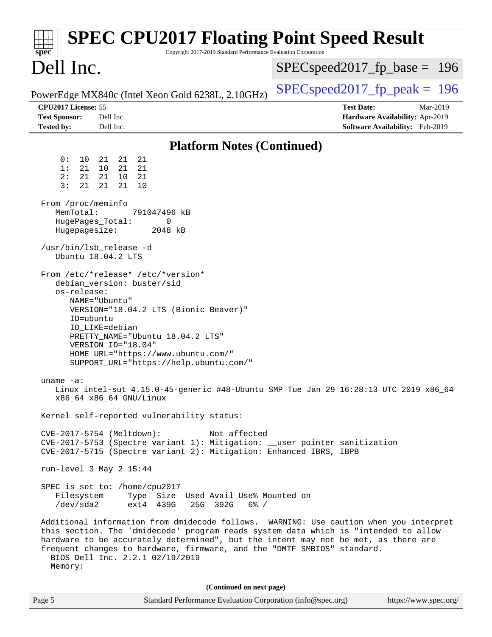| <b>SPEC CPU2017 Floating Point Speed Result</b><br>Copyright 2017-2019 Standard Performance Evaluation Corporation<br>$spec^*$                                                                                                                                                                                                                                                                                                                                                                                                                                                                                                                                                                                                                                                                                                                                                                                                                                                                                                                                                                                                                                                                                                                        |                                                                                                     |
|-------------------------------------------------------------------------------------------------------------------------------------------------------------------------------------------------------------------------------------------------------------------------------------------------------------------------------------------------------------------------------------------------------------------------------------------------------------------------------------------------------------------------------------------------------------------------------------------------------------------------------------------------------------------------------------------------------------------------------------------------------------------------------------------------------------------------------------------------------------------------------------------------------------------------------------------------------------------------------------------------------------------------------------------------------------------------------------------------------------------------------------------------------------------------------------------------------------------------------------------------------|-----------------------------------------------------------------------------------------------------|
| Dell Inc.                                                                                                                                                                                                                                                                                                                                                                                                                                                                                                                                                                                                                                                                                                                                                                                                                                                                                                                                                                                                                                                                                                                                                                                                                                             | $SPEC speed2017_fp\_base = 196$                                                                     |
| PowerEdge MX840c (Intel Xeon Gold 6238L, 2.10GHz)                                                                                                                                                                                                                                                                                                                                                                                                                                                                                                                                                                                                                                                                                                                                                                                                                                                                                                                                                                                                                                                                                                                                                                                                     | $SPEC speed2017_fp\_peak = 196$                                                                     |
| CPU2017 License: 55<br><b>Test Sponsor:</b><br>Dell Inc.<br><b>Tested by:</b><br>Dell Inc.                                                                                                                                                                                                                                                                                                                                                                                                                                                                                                                                                                                                                                                                                                                                                                                                                                                                                                                                                                                                                                                                                                                                                            | <b>Test Date:</b><br>Mar-2019<br>Hardware Availability: Apr-2019<br>Software Availability: Feb-2019 |
| <b>Platform Notes (Continued)</b>                                                                                                                                                                                                                                                                                                                                                                                                                                                                                                                                                                                                                                                                                                                                                                                                                                                                                                                                                                                                                                                                                                                                                                                                                     |                                                                                                     |
| 0 :<br>10<br>21<br>21<br>21<br>1:<br>21<br>21<br>10<br>21<br>21<br>2:<br>21<br>10<br>- 21<br>3:<br>21<br>21<br>21<br>10<br>From /proc/meminfo<br>MemTotal:<br>791047496 kB<br>HugePages_Total:<br>0<br>Hugepagesize:<br>2048 kB<br>/usr/bin/lsb_release -d<br>Ubuntu 18.04.2 LTS<br>From /etc/*release* /etc/*version*<br>debian_version: buster/sid<br>os-release:<br>NAME="Ubuntu"<br>VERSION="18.04.2 LTS (Bionic Beaver)"<br>ID=ubuntu<br>ID_LIKE=debian<br>PRETTY_NAME="Ubuntu 18.04.2 LTS"<br>VERSION ID="18.04"<br>HOME_URL="https://www.ubuntu.com/"<br>SUPPORT_URL="https://help.ubuntu.com/"<br>uname $-a$ :<br>Linux intel-sut 4.15.0-45-generic #48-Ubuntu SMP Tue Jan 29 16:28:13 UTC 2019 x86_64<br>x86_64 x86_64 GNU/Linux<br>Kernel self-reported vulnerability status:<br>CVE-2017-5754 (Meltdown):<br>Not affected<br>CVE-2017-5753 (Spectre variant 1): Mitigation: __user pointer sanitization<br>CVE-2017-5715 (Spectre variant 2): Mitigation: Enhanced IBRS, IBPB<br>run-level 3 May 2 15:44<br>SPEC is set to: /home/cpu2017<br>Filesystem<br>Type Size Used Avail Use% Mounted on<br>/dev/sda2<br>ext4 439G<br>25G 392G<br>$6\%$ /<br>Additional information from dmidecode follows. WARNING: Use caution when you interpret |                                                                                                     |
| this section. The 'dmidecode' program reads system data which is "intended to allow<br>hardware to be accurately determined", but the intent may not be met, as there are<br>frequent changes to hardware, firmware, and the "DMTF SMBIOS" standard.<br>BIOS Dell Inc. 2.2.1 02/19/2019<br>Memory:                                                                                                                                                                                                                                                                                                                                                                                                                                                                                                                                                                                                                                                                                                                                                                                                                                                                                                                                                    |                                                                                                     |
| (Continued on next page)                                                                                                                                                                                                                                                                                                                                                                                                                                                                                                                                                                                                                                                                                                                                                                                                                                                                                                                                                                                                                                                                                                                                                                                                                              |                                                                                                     |
| Page 5<br>Standard Performance Evaluation Corporation (info@spec.org)                                                                                                                                                                                                                                                                                                                                                                                                                                                                                                                                                                                                                                                                                                                                                                                                                                                                                                                                                                                                                                                                                                                                                                                 | https://www.spec.org/                                                                               |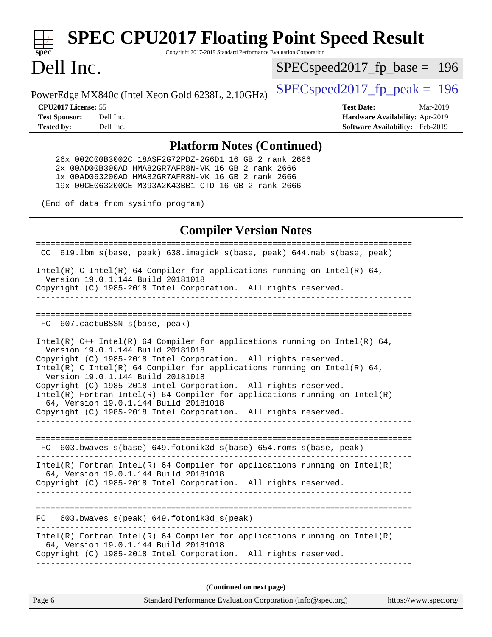# **[spec](http://www.spec.org/)**<sup>®</sup>

# **[SPEC CPU2017 Floating Point Speed Result](http://www.spec.org/auto/cpu2017/Docs/result-fields.html#SPECCPU2017FloatingPointSpeedResult)**

Copyright 2017-2019 Standard Performance Evaluation Corporation

## Dell Inc.

SPECspeed2017 fp base =  $196$ 

PowerEdge MX840c (Intel Xeon Gold 6238L, 2.10GHz)  $\left|$  [SPECspeed2017\\_fp\\_peak =](http://www.spec.org/auto/cpu2017/Docs/result-fields.html#SPECspeed2017fppeak) 196

**[CPU2017 License:](http://www.spec.org/auto/cpu2017/Docs/result-fields.html#CPU2017License)** 55 **[Test Date:](http://www.spec.org/auto/cpu2017/Docs/result-fields.html#TestDate)** Mar-2019 **[Test Sponsor:](http://www.spec.org/auto/cpu2017/Docs/result-fields.html#TestSponsor)** Dell Inc. **[Hardware Availability:](http://www.spec.org/auto/cpu2017/Docs/result-fields.html#HardwareAvailability)** Apr-2019 **[Tested by:](http://www.spec.org/auto/cpu2017/Docs/result-fields.html#Testedby)** Dell Inc. **[Software Availability:](http://www.spec.org/auto/cpu2017/Docs/result-fields.html#SoftwareAvailability)** Feb-2019

#### **[Platform Notes \(Continued\)](http://www.spec.org/auto/cpu2017/Docs/result-fields.html#PlatformNotes)**

 26x 002C00B3002C 18ASF2G72PDZ-2G6D1 16 GB 2 rank 2666 2x 00AD00B300AD HMA82GR7AFR8N-VK 16 GB 2 rank 2666 1x 00AD063200AD HMA82GR7AFR8N-VK 16 GB 2 rank 2666 19x 00CE063200CE M393A2K43BB1-CTD 16 GB 2 rank 2666

(End of data from sysinfo program)

### **[Compiler Version Notes](http://www.spec.org/auto/cpu2017/Docs/result-fields.html#CompilerVersionNotes)**

============================================================================== CC 619.lbm\_s(base, peak) 638.imagick\_s(base, peak) 644.nab\_s(base, peak) ------------------------------------------------------------------------------ Intel(R) C Intel(R) 64 Compiler for applications running on Intel(R) 64, Version 19.0.1.144 Build 20181018 Copyright (C) 1985-2018 Intel Corporation. All rights reserved. ------------------------------------------------------------------------------ ============================================================================== FC 607.cactuBSSN s(base, peak) ------------------------------------------------------------------------------ Intel(R) C++ Intel(R) 64 Compiler for applications running on Intel(R) 64, Version 19.0.1.144 Build 20181018 Copyright (C) 1985-2018 Intel Corporation. All rights reserved. Intel(R) C Intel(R) 64 Compiler for applications running on Intel(R)  $64$ , Version 19.0.1.144 Build 20181018 Copyright (C) 1985-2018 Intel Corporation. All rights reserved. Intel(R) Fortran Intel(R) 64 Compiler for applications running on Intel(R) 64, Version 19.0.1.144 Build 20181018 Copyright (C) 1985-2018 Intel Corporation. All rights reserved. ------------------------------------------------------------------------------ ============================================================================== FC 603.bwaves\_s(base) 649.fotonik3d\_s(base) 654.roms\_s(base, peak) ------------------------------------------------------------------------------ Intel(R) Fortran Intel(R) 64 Compiler for applications running on Intel(R) 64, Version 19.0.1.144 Build 20181018 Copyright (C) 1985-2018 Intel Corporation. All rights reserved. ------------------------------------------------------------------------------ ============================================================================== FC 603.bwaves\_s(peak) 649.fotonik3d\_s(peak) ------------------------------------------------------------------------------ Intel(R) Fortran Intel(R) 64 Compiler for applications running on Intel(R) 64, Version 19.0.1.144 Build 20181018 Copyright (C) 1985-2018 Intel Corporation. All rights reserved. ------------------------------------------------------------------------------ **(Continued on next page)**

| Page 6<br>Standard Performance Evaluation Corporation (info@spec.org) |  | https://www.spec.org/ |
|-----------------------------------------------------------------------|--|-----------------------|
|-----------------------------------------------------------------------|--|-----------------------|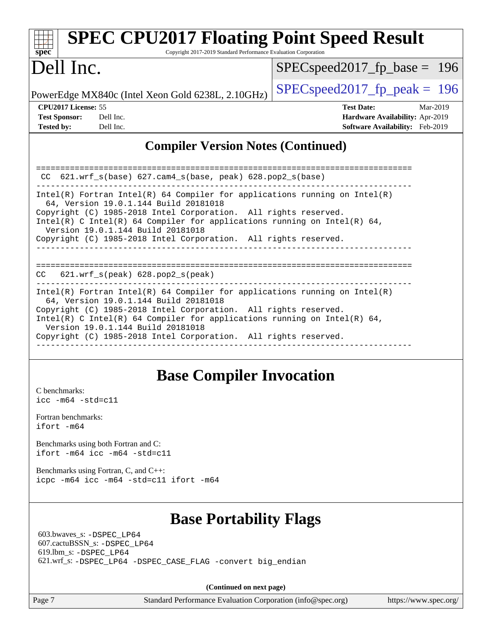| <b>SPEC CPU2017 Floating Point Speed Result</b><br>spec <sup>®</sup><br>Copyright 2017-2019 Standard Performance Evaluation Corporation                                          |                                                                                                     |
|----------------------------------------------------------------------------------------------------------------------------------------------------------------------------------|-----------------------------------------------------------------------------------------------------|
| Dell Inc.                                                                                                                                                                        | $SPEC speed2017_f p\_base = 196$                                                                    |
| PowerEdge MX840c (Intel Xeon Gold 6238L, 2.10GHz)                                                                                                                                | $SPEC speed2017_fp\_peak = 196$                                                                     |
| CPU2017 License: 55<br><b>Test Sponsor:</b><br>Dell Inc.<br><b>Tested by:</b><br>Dell Inc.                                                                                       | <b>Test Date:</b><br>Mar-2019<br>Hardware Availability: Apr-2019<br>Software Availability: Feb-2019 |
| <b>Compiler Version Notes (Continued)</b>                                                                                                                                        |                                                                                                     |
| 621.wrf_s(base) 627.cam4_s(base, peak) 628.pop2_s(base)<br>CC                                                                                                                    |                                                                                                     |
| $Intel(R)$ Fortran Intel(R) 64 Compiler for applications running on Intel(R)<br>64, Version 19.0.1.144 Build 20181018                                                            |                                                                                                     |
| Copyright (C) 1985-2018 Intel Corporation. All rights reserved.<br>Intel(R) C Intel(R) 64 Compiler for applications running on Intel(R) 64,<br>Version 19.0.1.144 Build 20181018 |                                                                                                     |
| Copyright (C) 1985-2018 Intel Corporation. All rights reserved.                                                                                                                  |                                                                                                     |
| $621.wrf$ s(peak) $628.pop2$ s(peak)<br>CC                                                                                                                                       |                                                                                                     |
| $Intel(R)$ Fortran Intel(R) 64 Compiler for applications running on Intel(R)<br>64, Version 19.0.1.144 Build 20181018                                                            |                                                                                                     |
| Copyright (C) 1985-2018 Intel Corporation. All rights reserved.<br>Intel(R) C Intel(R) 64 Compiler for applications running on Intel(R) 64,<br>Version 19.0.1.144 Build 20181018 |                                                                                                     |

Copyright (C) 1985-2018 Intel Corporation. All rights reserved.

#### ------------------------------------------------------------------------------

## **[Base Compiler Invocation](http://www.spec.org/auto/cpu2017/Docs/result-fields.html#BaseCompilerInvocation)**

[C benchmarks](http://www.spec.org/auto/cpu2017/Docs/result-fields.html#Cbenchmarks): [icc -m64 -std=c11](http://www.spec.org/cpu2017/results/res2019q3/cpu2017-20190624-15407.flags.html#user_CCbase_intel_icc_64bit_c11_33ee0cdaae7deeeab2a9725423ba97205ce30f63b9926c2519791662299b76a0318f32ddfffdc46587804de3178b4f9328c46fa7c2b0cd779d7a61945c91cd35)

[Fortran benchmarks](http://www.spec.org/auto/cpu2017/Docs/result-fields.html#Fortranbenchmarks): [ifort -m64](http://www.spec.org/cpu2017/results/res2019q3/cpu2017-20190624-15407.flags.html#user_FCbase_intel_ifort_64bit_24f2bb282fbaeffd6157abe4f878425411749daecae9a33200eee2bee2fe76f3b89351d69a8130dd5949958ce389cf37ff59a95e7a40d588e8d3a57e0c3fd751)

[Benchmarks using both Fortran and C](http://www.spec.org/auto/cpu2017/Docs/result-fields.html#BenchmarksusingbothFortranandC): [ifort -m64](http://www.spec.org/cpu2017/results/res2019q3/cpu2017-20190624-15407.flags.html#user_CC_FCbase_intel_ifort_64bit_24f2bb282fbaeffd6157abe4f878425411749daecae9a33200eee2bee2fe76f3b89351d69a8130dd5949958ce389cf37ff59a95e7a40d588e8d3a57e0c3fd751) [icc -m64 -std=c11](http://www.spec.org/cpu2017/results/res2019q3/cpu2017-20190624-15407.flags.html#user_CC_FCbase_intel_icc_64bit_c11_33ee0cdaae7deeeab2a9725423ba97205ce30f63b9926c2519791662299b76a0318f32ddfffdc46587804de3178b4f9328c46fa7c2b0cd779d7a61945c91cd35)

[Benchmarks using Fortran, C, and C++:](http://www.spec.org/auto/cpu2017/Docs/result-fields.html#BenchmarksusingFortranCandCXX) [icpc -m64](http://www.spec.org/cpu2017/results/res2019q3/cpu2017-20190624-15407.flags.html#user_CC_CXX_FCbase_intel_icpc_64bit_4ecb2543ae3f1412ef961e0650ca070fec7b7afdcd6ed48761b84423119d1bf6bdf5cad15b44d48e7256388bc77273b966e5eb805aefd121eb22e9299b2ec9d9) [icc -m64 -std=c11](http://www.spec.org/cpu2017/results/res2019q3/cpu2017-20190624-15407.flags.html#user_CC_CXX_FCbase_intel_icc_64bit_c11_33ee0cdaae7deeeab2a9725423ba97205ce30f63b9926c2519791662299b76a0318f32ddfffdc46587804de3178b4f9328c46fa7c2b0cd779d7a61945c91cd35) [ifort -m64](http://www.spec.org/cpu2017/results/res2019q3/cpu2017-20190624-15407.flags.html#user_CC_CXX_FCbase_intel_ifort_64bit_24f2bb282fbaeffd6157abe4f878425411749daecae9a33200eee2bee2fe76f3b89351d69a8130dd5949958ce389cf37ff59a95e7a40d588e8d3a57e0c3fd751)

## **[Base Portability Flags](http://www.spec.org/auto/cpu2017/Docs/result-fields.html#BasePortabilityFlags)**

 603.bwaves\_s: [-DSPEC\\_LP64](http://www.spec.org/cpu2017/results/res2019q3/cpu2017-20190624-15407.flags.html#suite_basePORTABILITY603_bwaves_s_DSPEC_LP64) 607.cactuBSSN\_s: [-DSPEC\\_LP64](http://www.spec.org/cpu2017/results/res2019q3/cpu2017-20190624-15407.flags.html#suite_basePORTABILITY607_cactuBSSN_s_DSPEC_LP64) 619.lbm\_s: [-DSPEC\\_LP64](http://www.spec.org/cpu2017/results/res2019q3/cpu2017-20190624-15407.flags.html#suite_basePORTABILITY619_lbm_s_DSPEC_LP64) 621.wrf\_s: [-DSPEC\\_LP64](http://www.spec.org/cpu2017/results/res2019q3/cpu2017-20190624-15407.flags.html#suite_basePORTABILITY621_wrf_s_DSPEC_LP64) [-DSPEC\\_CASE\\_FLAG](http://www.spec.org/cpu2017/results/res2019q3/cpu2017-20190624-15407.flags.html#b621.wrf_s_baseCPORTABILITY_DSPEC_CASE_FLAG) [-convert big\\_endian](http://www.spec.org/cpu2017/results/res2019q3/cpu2017-20190624-15407.flags.html#user_baseFPORTABILITY621_wrf_s_convert_big_endian_c3194028bc08c63ac5d04de18c48ce6d347e4e562e8892b8bdbdc0214820426deb8554edfa529a3fb25a586e65a3d812c835984020483e7e73212c4d31a38223)

**(Continued on next page)**

Page 7 Standard Performance Evaluation Corporation [\(info@spec.org\)](mailto:info@spec.org) <https://www.spec.org/>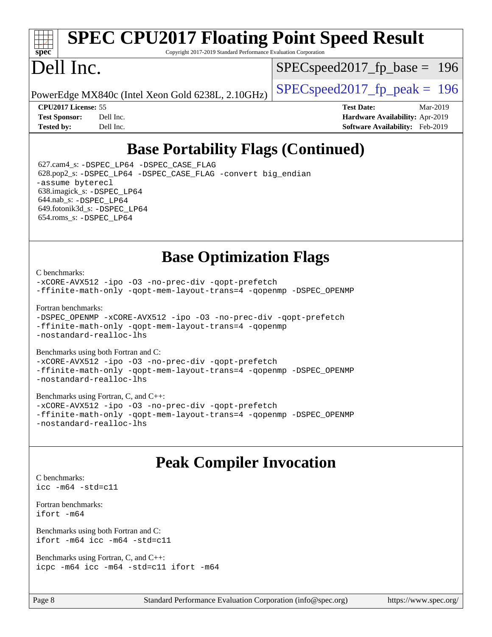# **[spec](http://www.spec.org/)**

# **[SPEC CPU2017 Floating Point Speed Result](http://www.spec.org/auto/cpu2017/Docs/result-fields.html#SPECCPU2017FloatingPointSpeedResult)**

Copyright 2017-2019 Standard Performance Evaluation Corporation

# Dell Inc.

SPECspeed2017 fp base =  $196$ 

PowerEdge MX840c (Intel Xeon Gold 6238L, 2.10GHz)  $\left|$  [SPECspeed2017\\_fp\\_peak =](http://www.spec.org/auto/cpu2017/Docs/result-fields.html#SPECspeed2017fppeak) 196

**[CPU2017 License:](http://www.spec.org/auto/cpu2017/Docs/result-fields.html#CPU2017License)** 55 **[Test Date:](http://www.spec.org/auto/cpu2017/Docs/result-fields.html#TestDate)** Mar-2019 **[Test Sponsor:](http://www.spec.org/auto/cpu2017/Docs/result-fields.html#TestSponsor)** Dell Inc. **[Hardware Availability:](http://www.spec.org/auto/cpu2017/Docs/result-fields.html#HardwareAvailability)** Apr-2019 **[Tested by:](http://www.spec.org/auto/cpu2017/Docs/result-fields.html#Testedby)** Dell Inc. **[Software Availability:](http://www.spec.org/auto/cpu2017/Docs/result-fields.html#SoftwareAvailability)** Feb-2019

## **[Base Portability Flags \(Continued\)](http://www.spec.org/auto/cpu2017/Docs/result-fields.html#BasePortabilityFlags)**

 627.cam4\_s: [-DSPEC\\_LP64](http://www.spec.org/cpu2017/results/res2019q3/cpu2017-20190624-15407.flags.html#suite_basePORTABILITY627_cam4_s_DSPEC_LP64) [-DSPEC\\_CASE\\_FLAG](http://www.spec.org/cpu2017/results/res2019q3/cpu2017-20190624-15407.flags.html#b627.cam4_s_baseCPORTABILITY_DSPEC_CASE_FLAG) 628.pop2\_s: [-DSPEC\\_LP64](http://www.spec.org/cpu2017/results/res2019q3/cpu2017-20190624-15407.flags.html#suite_basePORTABILITY628_pop2_s_DSPEC_LP64) [-DSPEC\\_CASE\\_FLAG](http://www.spec.org/cpu2017/results/res2019q3/cpu2017-20190624-15407.flags.html#b628.pop2_s_baseCPORTABILITY_DSPEC_CASE_FLAG) [-convert big\\_endian](http://www.spec.org/cpu2017/results/res2019q3/cpu2017-20190624-15407.flags.html#user_baseFPORTABILITY628_pop2_s_convert_big_endian_c3194028bc08c63ac5d04de18c48ce6d347e4e562e8892b8bdbdc0214820426deb8554edfa529a3fb25a586e65a3d812c835984020483e7e73212c4d31a38223) [-assume byterecl](http://www.spec.org/cpu2017/results/res2019q3/cpu2017-20190624-15407.flags.html#user_baseFPORTABILITY628_pop2_s_assume_byterecl_7e47d18b9513cf18525430bbf0f2177aa9bf368bc7a059c09b2c06a34b53bd3447c950d3f8d6c70e3faf3a05c8557d66a5798b567902e8849adc142926523472) 638.imagick\_s: [-DSPEC\\_LP64](http://www.spec.org/cpu2017/results/res2019q3/cpu2017-20190624-15407.flags.html#suite_basePORTABILITY638_imagick_s_DSPEC_LP64) 644.nab\_s: [-DSPEC\\_LP64](http://www.spec.org/cpu2017/results/res2019q3/cpu2017-20190624-15407.flags.html#suite_basePORTABILITY644_nab_s_DSPEC_LP64) 649.fotonik3d\_s: [-DSPEC\\_LP64](http://www.spec.org/cpu2017/results/res2019q3/cpu2017-20190624-15407.flags.html#suite_basePORTABILITY649_fotonik3d_s_DSPEC_LP64) 654.roms\_s: [-DSPEC\\_LP64](http://www.spec.org/cpu2017/results/res2019q3/cpu2017-20190624-15407.flags.html#suite_basePORTABILITY654_roms_s_DSPEC_LP64)

## **[Base Optimization Flags](http://www.spec.org/auto/cpu2017/Docs/result-fields.html#BaseOptimizationFlags)**

[C benchmarks](http://www.spec.org/auto/cpu2017/Docs/result-fields.html#Cbenchmarks):

[-xCORE-AVX512](http://www.spec.org/cpu2017/results/res2019q3/cpu2017-20190624-15407.flags.html#user_CCbase_f-xCORE-AVX512) [-ipo](http://www.spec.org/cpu2017/results/res2019q3/cpu2017-20190624-15407.flags.html#user_CCbase_f-ipo) [-O3](http://www.spec.org/cpu2017/results/res2019q3/cpu2017-20190624-15407.flags.html#user_CCbase_f-O3) [-no-prec-div](http://www.spec.org/cpu2017/results/res2019q3/cpu2017-20190624-15407.flags.html#user_CCbase_f-no-prec-div) [-qopt-prefetch](http://www.spec.org/cpu2017/results/res2019q3/cpu2017-20190624-15407.flags.html#user_CCbase_f-qopt-prefetch) [-ffinite-math-only](http://www.spec.org/cpu2017/results/res2019q3/cpu2017-20190624-15407.flags.html#user_CCbase_f_finite_math_only_cb91587bd2077682c4b38af759c288ed7c732db004271a9512da14a4f8007909a5f1427ecbf1a0fb78ff2a814402c6114ac565ca162485bbcae155b5e4258871) [-qopt-mem-layout-trans=4](http://www.spec.org/cpu2017/results/res2019q3/cpu2017-20190624-15407.flags.html#user_CCbase_f-qopt-mem-layout-trans_fa39e755916c150a61361b7846f310bcdf6f04e385ef281cadf3647acec3f0ae266d1a1d22d972a7087a248fd4e6ca390a3634700869573d231a252c784941a8) [-qopenmp](http://www.spec.org/cpu2017/results/res2019q3/cpu2017-20190624-15407.flags.html#user_CCbase_qopenmp_16be0c44f24f464004c6784a7acb94aca937f053568ce72f94b139a11c7c168634a55f6653758ddd83bcf7b8463e8028bb0b48b77bcddc6b78d5d95bb1df2967) [-DSPEC\\_OPENMP](http://www.spec.org/cpu2017/results/res2019q3/cpu2017-20190624-15407.flags.html#suite_CCbase_DSPEC_OPENMP)

[Fortran benchmarks](http://www.spec.org/auto/cpu2017/Docs/result-fields.html#Fortranbenchmarks):

[-DSPEC\\_OPENMP](http://www.spec.org/cpu2017/results/res2019q3/cpu2017-20190624-15407.flags.html#suite_FCbase_DSPEC_OPENMP) [-xCORE-AVX512](http://www.spec.org/cpu2017/results/res2019q3/cpu2017-20190624-15407.flags.html#user_FCbase_f-xCORE-AVX512) [-ipo](http://www.spec.org/cpu2017/results/res2019q3/cpu2017-20190624-15407.flags.html#user_FCbase_f-ipo) [-O3](http://www.spec.org/cpu2017/results/res2019q3/cpu2017-20190624-15407.flags.html#user_FCbase_f-O3) [-no-prec-div](http://www.spec.org/cpu2017/results/res2019q3/cpu2017-20190624-15407.flags.html#user_FCbase_f-no-prec-div) [-qopt-prefetch](http://www.spec.org/cpu2017/results/res2019q3/cpu2017-20190624-15407.flags.html#user_FCbase_f-qopt-prefetch) [-ffinite-math-only](http://www.spec.org/cpu2017/results/res2019q3/cpu2017-20190624-15407.flags.html#user_FCbase_f_finite_math_only_cb91587bd2077682c4b38af759c288ed7c732db004271a9512da14a4f8007909a5f1427ecbf1a0fb78ff2a814402c6114ac565ca162485bbcae155b5e4258871) [-qopt-mem-layout-trans=4](http://www.spec.org/cpu2017/results/res2019q3/cpu2017-20190624-15407.flags.html#user_FCbase_f-qopt-mem-layout-trans_fa39e755916c150a61361b7846f310bcdf6f04e385ef281cadf3647acec3f0ae266d1a1d22d972a7087a248fd4e6ca390a3634700869573d231a252c784941a8) [-qopenmp](http://www.spec.org/cpu2017/results/res2019q3/cpu2017-20190624-15407.flags.html#user_FCbase_qopenmp_16be0c44f24f464004c6784a7acb94aca937f053568ce72f94b139a11c7c168634a55f6653758ddd83bcf7b8463e8028bb0b48b77bcddc6b78d5d95bb1df2967) [-nostandard-realloc-lhs](http://www.spec.org/cpu2017/results/res2019q3/cpu2017-20190624-15407.flags.html#user_FCbase_f_2003_std_realloc_82b4557e90729c0f113870c07e44d33d6f5a304b4f63d4c15d2d0f1fab99f5daaed73bdb9275d9ae411527f28b936061aa8b9c8f2d63842963b95c9dd6426b8a)

[Benchmarks using both Fortran and C](http://www.spec.org/auto/cpu2017/Docs/result-fields.html#BenchmarksusingbothFortranandC):

[-xCORE-AVX512](http://www.spec.org/cpu2017/results/res2019q3/cpu2017-20190624-15407.flags.html#user_CC_FCbase_f-xCORE-AVX512) [-ipo](http://www.spec.org/cpu2017/results/res2019q3/cpu2017-20190624-15407.flags.html#user_CC_FCbase_f-ipo) [-O3](http://www.spec.org/cpu2017/results/res2019q3/cpu2017-20190624-15407.flags.html#user_CC_FCbase_f-O3) [-no-prec-div](http://www.spec.org/cpu2017/results/res2019q3/cpu2017-20190624-15407.flags.html#user_CC_FCbase_f-no-prec-div) [-qopt-prefetch](http://www.spec.org/cpu2017/results/res2019q3/cpu2017-20190624-15407.flags.html#user_CC_FCbase_f-qopt-prefetch) [-ffinite-math-only](http://www.spec.org/cpu2017/results/res2019q3/cpu2017-20190624-15407.flags.html#user_CC_FCbase_f_finite_math_only_cb91587bd2077682c4b38af759c288ed7c732db004271a9512da14a4f8007909a5f1427ecbf1a0fb78ff2a814402c6114ac565ca162485bbcae155b5e4258871) [-qopt-mem-layout-trans=4](http://www.spec.org/cpu2017/results/res2019q3/cpu2017-20190624-15407.flags.html#user_CC_FCbase_f-qopt-mem-layout-trans_fa39e755916c150a61361b7846f310bcdf6f04e385ef281cadf3647acec3f0ae266d1a1d22d972a7087a248fd4e6ca390a3634700869573d231a252c784941a8) [-qopenmp](http://www.spec.org/cpu2017/results/res2019q3/cpu2017-20190624-15407.flags.html#user_CC_FCbase_qopenmp_16be0c44f24f464004c6784a7acb94aca937f053568ce72f94b139a11c7c168634a55f6653758ddd83bcf7b8463e8028bb0b48b77bcddc6b78d5d95bb1df2967) [-DSPEC\\_OPENMP](http://www.spec.org/cpu2017/results/res2019q3/cpu2017-20190624-15407.flags.html#suite_CC_FCbase_DSPEC_OPENMP) [-nostandard-realloc-lhs](http://www.spec.org/cpu2017/results/res2019q3/cpu2017-20190624-15407.flags.html#user_CC_FCbase_f_2003_std_realloc_82b4557e90729c0f113870c07e44d33d6f5a304b4f63d4c15d2d0f1fab99f5daaed73bdb9275d9ae411527f28b936061aa8b9c8f2d63842963b95c9dd6426b8a)

[Benchmarks using Fortran, C, and C++:](http://www.spec.org/auto/cpu2017/Docs/result-fields.html#BenchmarksusingFortranCandCXX) [-xCORE-AVX512](http://www.spec.org/cpu2017/results/res2019q3/cpu2017-20190624-15407.flags.html#user_CC_CXX_FCbase_f-xCORE-AVX512) [-ipo](http://www.spec.org/cpu2017/results/res2019q3/cpu2017-20190624-15407.flags.html#user_CC_CXX_FCbase_f-ipo) [-O3](http://www.spec.org/cpu2017/results/res2019q3/cpu2017-20190624-15407.flags.html#user_CC_CXX_FCbase_f-O3) [-no-prec-div](http://www.spec.org/cpu2017/results/res2019q3/cpu2017-20190624-15407.flags.html#user_CC_CXX_FCbase_f-no-prec-div) [-qopt-prefetch](http://www.spec.org/cpu2017/results/res2019q3/cpu2017-20190624-15407.flags.html#user_CC_CXX_FCbase_f-qopt-prefetch) [-ffinite-math-only](http://www.spec.org/cpu2017/results/res2019q3/cpu2017-20190624-15407.flags.html#user_CC_CXX_FCbase_f_finite_math_only_cb91587bd2077682c4b38af759c288ed7c732db004271a9512da14a4f8007909a5f1427ecbf1a0fb78ff2a814402c6114ac565ca162485bbcae155b5e4258871) [-qopt-mem-layout-trans=4](http://www.spec.org/cpu2017/results/res2019q3/cpu2017-20190624-15407.flags.html#user_CC_CXX_FCbase_f-qopt-mem-layout-trans_fa39e755916c150a61361b7846f310bcdf6f04e385ef281cadf3647acec3f0ae266d1a1d22d972a7087a248fd4e6ca390a3634700869573d231a252c784941a8) [-qopenmp](http://www.spec.org/cpu2017/results/res2019q3/cpu2017-20190624-15407.flags.html#user_CC_CXX_FCbase_qopenmp_16be0c44f24f464004c6784a7acb94aca937f053568ce72f94b139a11c7c168634a55f6653758ddd83bcf7b8463e8028bb0b48b77bcddc6b78d5d95bb1df2967) [-DSPEC\\_OPENMP](http://www.spec.org/cpu2017/results/res2019q3/cpu2017-20190624-15407.flags.html#suite_CC_CXX_FCbase_DSPEC_OPENMP) [-nostandard-realloc-lhs](http://www.spec.org/cpu2017/results/res2019q3/cpu2017-20190624-15407.flags.html#user_CC_CXX_FCbase_f_2003_std_realloc_82b4557e90729c0f113870c07e44d33d6f5a304b4f63d4c15d2d0f1fab99f5daaed73bdb9275d9ae411527f28b936061aa8b9c8f2d63842963b95c9dd6426b8a)

## **[Peak Compiler Invocation](http://www.spec.org/auto/cpu2017/Docs/result-fields.html#PeakCompilerInvocation)**

[C benchmarks](http://www.spec.org/auto/cpu2017/Docs/result-fields.html#Cbenchmarks): [icc -m64 -std=c11](http://www.spec.org/cpu2017/results/res2019q3/cpu2017-20190624-15407.flags.html#user_CCpeak_intel_icc_64bit_c11_33ee0cdaae7deeeab2a9725423ba97205ce30f63b9926c2519791662299b76a0318f32ddfffdc46587804de3178b4f9328c46fa7c2b0cd779d7a61945c91cd35)

[Fortran benchmarks](http://www.spec.org/auto/cpu2017/Docs/result-fields.html#Fortranbenchmarks): [ifort -m64](http://www.spec.org/cpu2017/results/res2019q3/cpu2017-20190624-15407.flags.html#user_FCpeak_intel_ifort_64bit_24f2bb282fbaeffd6157abe4f878425411749daecae9a33200eee2bee2fe76f3b89351d69a8130dd5949958ce389cf37ff59a95e7a40d588e8d3a57e0c3fd751)

[Benchmarks using both Fortran and C](http://www.spec.org/auto/cpu2017/Docs/result-fields.html#BenchmarksusingbothFortranandC): [ifort -m64](http://www.spec.org/cpu2017/results/res2019q3/cpu2017-20190624-15407.flags.html#user_CC_FCpeak_intel_ifort_64bit_24f2bb282fbaeffd6157abe4f878425411749daecae9a33200eee2bee2fe76f3b89351d69a8130dd5949958ce389cf37ff59a95e7a40d588e8d3a57e0c3fd751) [icc -m64 -std=c11](http://www.spec.org/cpu2017/results/res2019q3/cpu2017-20190624-15407.flags.html#user_CC_FCpeak_intel_icc_64bit_c11_33ee0cdaae7deeeab2a9725423ba97205ce30f63b9926c2519791662299b76a0318f32ddfffdc46587804de3178b4f9328c46fa7c2b0cd779d7a61945c91cd35)

[Benchmarks using Fortran, C, and C++:](http://www.spec.org/auto/cpu2017/Docs/result-fields.html#BenchmarksusingFortranCandCXX) [icpc -m64](http://www.spec.org/cpu2017/results/res2019q3/cpu2017-20190624-15407.flags.html#user_CC_CXX_FCpeak_intel_icpc_64bit_4ecb2543ae3f1412ef961e0650ca070fec7b7afdcd6ed48761b84423119d1bf6bdf5cad15b44d48e7256388bc77273b966e5eb805aefd121eb22e9299b2ec9d9) [icc -m64 -std=c11](http://www.spec.org/cpu2017/results/res2019q3/cpu2017-20190624-15407.flags.html#user_CC_CXX_FCpeak_intel_icc_64bit_c11_33ee0cdaae7deeeab2a9725423ba97205ce30f63b9926c2519791662299b76a0318f32ddfffdc46587804de3178b4f9328c46fa7c2b0cd779d7a61945c91cd35) [ifort -m64](http://www.spec.org/cpu2017/results/res2019q3/cpu2017-20190624-15407.flags.html#user_CC_CXX_FCpeak_intel_ifort_64bit_24f2bb282fbaeffd6157abe4f878425411749daecae9a33200eee2bee2fe76f3b89351d69a8130dd5949958ce389cf37ff59a95e7a40d588e8d3a57e0c3fd751)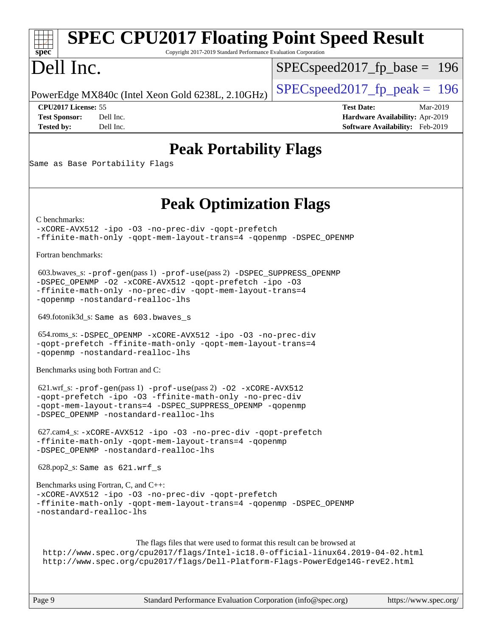### **[spec](http://www.spec.org/) [SPEC CPU2017 Floating Point Speed Result](http://www.spec.org/auto/cpu2017/Docs/result-fields.html#SPECCPU2017FloatingPointSpeedResult)** Copyright 2017-2019 Standard Performance Evaluation Corporation Dell Inc. PowerEdge MX840c (Intel Xeon Gold 6238L, 2.10GHz)  $\left|$  [SPECspeed2017\\_fp\\_peak =](http://www.spec.org/auto/cpu2017/Docs/result-fields.html#SPECspeed2017fppeak) 196 SPECspeed2017 fp base  $= 196$ **[CPU2017 License:](http://www.spec.org/auto/cpu2017/Docs/result-fields.html#CPU2017License)** 55 **[Test Date:](http://www.spec.org/auto/cpu2017/Docs/result-fields.html#TestDate)** Mar-2019 **[Test Sponsor:](http://www.spec.org/auto/cpu2017/Docs/result-fields.html#TestSponsor)** Dell Inc. **[Hardware Availability:](http://www.spec.org/auto/cpu2017/Docs/result-fields.html#HardwareAvailability)** Apr-2019 **[Tested by:](http://www.spec.org/auto/cpu2017/Docs/result-fields.html#Testedby)** Dell Inc. **[Software Availability:](http://www.spec.org/auto/cpu2017/Docs/result-fields.html#SoftwareAvailability)** Feb-2019 **[Peak Portability Flags](http://www.spec.org/auto/cpu2017/Docs/result-fields.html#PeakPortabilityFlags)** Same as Base Portability Flags **[Peak Optimization Flags](http://www.spec.org/auto/cpu2017/Docs/result-fields.html#PeakOptimizationFlags)** [C benchmarks](http://www.spec.org/auto/cpu2017/Docs/result-fields.html#Cbenchmarks): [-xCORE-AVX512](http://www.spec.org/cpu2017/results/res2019q3/cpu2017-20190624-15407.flags.html#user_CCpeak_f-xCORE-AVX512) [-ipo](http://www.spec.org/cpu2017/results/res2019q3/cpu2017-20190624-15407.flags.html#user_CCpeak_f-ipo) [-O3](http://www.spec.org/cpu2017/results/res2019q3/cpu2017-20190624-15407.flags.html#user_CCpeak_f-O3) [-no-prec-div](http://www.spec.org/cpu2017/results/res2019q3/cpu2017-20190624-15407.flags.html#user_CCpeak_f-no-prec-div) [-qopt-prefetch](http://www.spec.org/cpu2017/results/res2019q3/cpu2017-20190624-15407.flags.html#user_CCpeak_f-qopt-prefetch) [-ffinite-math-only](http://www.spec.org/cpu2017/results/res2019q3/cpu2017-20190624-15407.flags.html#user_CCpeak_f_finite_math_only_cb91587bd2077682c4b38af759c288ed7c732db004271a9512da14a4f8007909a5f1427ecbf1a0fb78ff2a814402c6114ac565ca162485bbcae155b5e4258871) [-qopt-mem-layout-trans=4](http://www.spec.org/cpu2017/results/res2019q3/cpu2017-20190624-15407.flags.html#user_CCpeak_f-qopt-mem-layout-trans_fa39e755916c150a61361b7846f310bcdf6f04e385ef281cadf3647acec3f0ae266d1a1d22d972a7087a248fd4e6ca390a3634700869573d231a252c784941a8) [-qopenmp](http://www.spec.org/cpu2017/results/res2019q3/cpu2017-20190624-15407.flags.html#user_CCpeak_qopenmp_16be0c44f24f464004c6784a7acb94aca937f053568ce72f94b139a11c7c168634a55f6653758ddd83bcf7b8463e8028bb0b48b77bcddc6b78d5d95bb1df2967) [-DSPEC\\_OPENMP](http://www.spec.org/cpu2017/results/res2019q3/cpu2017-20190624-15407.flags.html#suite_CCpeak_DSPEC_OPENMP) [Fortran benchmarks](http://www.spec.org/auto/cpu2017/Docs/result-fields.html#Fortranbenchmarks): 603.bwaves\_s: [-prof-gen](http://www.spec.org/cpu2017/results/res2019q3/cpu2017-20190624-15407.flags.html#user_peakPASS1_FFLAGSPASS1_LDFLAGS603_bwaves_s_prof_gen_5aa4926d6013ddb2a31985c654b3eb18169fc0c6952a63635c234f711e6e63dd76e94ad52365559451ec499a2cdb89e4dc58ba4c67ef54ca681ffbe1461d6b36)(pass 1) [-prof-use](http://www.spec.org/cpu2017/results/res2019q3/cpu2017-20190624-15407.flags.html#user_peakPASS2_FFLAGSPASS2_LDFLAGS603_bwaves_s_prof_use_1a21ceae95f36a2b53c25747139a6c16ca95bd9def2a207b4f0849963b97e94f5260e30a0c64f4bb623698870e679ca08317ef8150905d41bd88c6f78df73f19)(pass 2) [-DSPEC\\_SUPPRESS\\_OPENMP](http://www.spec.org/cpu2017/results/res2019q3/cpu2017-20190624-15407.flags.html#suite_peakPASS1_FOPTIMIZE603_bwaves_s_DSPEC_SUPPRESS_OPENMP) [-DSPEC\\_OPENMP](http://www.spec.org/cpu2017/results/res2019q3/cpu2017-20190624-15407.flags.html#suite_peakPASS2_FOPTIMIZE603_bwaves_s_DSPEC_OPENMP) [-O2](http://www.spec.org/cpu2017/results/res2019q3/cpu2017-20190624-15407.flags.html#user_peakPASS1_FOPTIMIZE603_bwaves_s_f-O2) [-xCORE-AVX512](http://www.spec.org/cpu2017/results/res2019q3/cpu2017-20190624-15407.flags.html#user_peakPASS2_FOPTIMIZE603_bwaves_s_f-xCORE-AVX512) [-qopt-prefetch](http://www.spec.org/cpu2017/results/res2019q3/cpu2017-20190624-15407.flags.html#user_peakPASS1_FOPTIMIZEPASS2_FOPTIMIZE603_bwaves_s_f-qopt-prefetch) [-ipo](http://www.spec.org/cpu2017/results/res2019q3/cpu2017-20190624-15407.flags.html#user_peakPASS2_FOPTIMIZE603_bwaves_s_f-ipo) [-O3](http://www.spec.org/cpu2017/results/res2019q3/cpu2017-20190624-15407.flags.html#user_peakPASS2_FOPTIMIZE603_bwaves_s_f-O3) [-ffinite-math-only](http://www.spec.org/cpu2017/results/res2019q3/cpu2017-20190624-15407.flags.html#user_peakPASS1_FOPTIMIZEPASS2_FOPTIMIZE603_bwaves_s_f_finite_math_only_cb91587bd2077682c4b38af759c288ed7c732db004271a9512da14a4f8007909a5f1427ecbf1a0fb78ff2a814402c6114ac565ca162485bbcae155b5e4258871) [-no-prec-div](http://www.spec.org/cpu2017/results/res2019q3/cpu2017-20190624-15407.flags.html#user_peakPASS2_FOPTIMIZE603_bwaves_s_f-no-prec-div) [-qopt-mem-layout-trans=4](http://www.spec.org/cpu2017/results/res2019q3/cpu2017-20190624-15407.flags.html#user_peakPASS1_FOPTIMIZEPASS2_FOPTIMIZE603_bwaves_s_f-qopt-mem-layout-trans_fa39e755916c150a61361b7846f310bcdf6f04e385ef281cadf3647acec3f0ae266d1a1d22d972a7087a248fd4e6ca390a3634700869573d231a252c784941a8) [-qopenmp](http://www.spec.org/cpu2017/results/res2019q3/cpu2017-20190624-15407.flags.html#user_peakPASS2_FOPTIMIZE603_bwaves_s_qopenmp_16be0c44f24f464004c6784a7acb94aca937f053568ce72f94b139a11c7c168634a55f6653758ddd83bcf7b8463e8028bb0b48b77bcddc6b78d5d95bb1df2967) [-nostandard-realloc-lhs](http://www.spec.org/cpu2017/results/res2019q3/cpu2017-20190624-15407.flags.html#user_peakEXTRA_FOPTIMIZE603_bwaves_s_f_2003_std_realloc_82b4557e90729c0f113870c07e44d33d6f5a304b4f63d4c15d2d0f1fab99f5daaed73bdb9275d9ae411527f28b936061aa8b9c8f2d63842963b95c9dd6426b8a) 649.fotonik3d\_s: Same as 603.bwaves\_s 654.roms\_s: [-DSPEC\\_OPENMP](http://www.spec.org/cpu2017/results/res2019q3/cpu2017-20190624-15407.flags.html#suite_peakFOPTIMIZE654_roms_s_DSPEC_OPENMP) [-xCORE-AVX512](http://www.spec.org/cpu2017/results/res2019q3/cpu2017-20190624-15407.flags.html#user_peakFOPTIMIZE654_roms_s_f-xCORE-AVX512) [-ipo](http://www.spec.org/cpu2017/results/res2019q3/cpu2017-20190624-15407.flags.html#user_peakFOPTIMIZE654_roms_s_f-ipo) [-O3](http://www.spec.org/cpu2017/results/res2019q3/cpu2017-20190624-15407.flags.html#user_peakFOPTIMIZE654_roms_s_f-O3) [-no-prec-div](http://www.spec.org/cpu2017/results/res2019q3/cpu2017-20190624-15407.flags.html#user_peakFOPTIMIZE654_roms_s_f-no-prec-div) [-qopt-prefetch](http://www.spec.org/cpu2017/results/res2019q3/cpu2017-20190624-15407.flags.html#user_peakFOPTIMIZE654_roms_s_f-qopt-prefetch) [-ffinite-math-only](http://www.spec.org/cpu2017/results/res2019q3/cpu2017-20190624-15407.flags.html#user_peakFOPTIMIZE654_roms_s_f_finite_math_only_cb91587bd2077682c4b38af759c288ed7c732db004271a9512da14a4f8007909a5f1427ecbf1a0fb78ff2a814402c6114ac565ca162485bbcae155b5e4258871) [-qopt-mem-layout-trans=4](http://www.spec.org/cpu2017/results/res2019q3/cpu2017-20190624-15407.flags.html#user_peakFOPTIMIZE654_roms_s_f-qopt-mem-layout-trans_fa39e755916c150a61361b7846f310bcdf6f04e385ef281cadf3647acec3f0ae266d1a1d22d972a7087a248fd4e6ca390a3634700869573d231a252c784941a8) [-qopenmp](http://www.spec.org/cpu2017/results/res2019q3/cpu2017-20190624-15407.flags.html#user_peakFOPTIMIZE654_roms_s_qopenmp_16be0c44f24f464004c6784a7acb94aca937f053568ce72f94b139a11c7c168634a55f6653758ddd83bcf7b8463e8028bb0b48b77bcddc6b78d5d95bb1df2967) [-nostandard-realloc-lhs](http://www.spec.org/cpu2017/results/res2019q3/cpu2017-20190624-15407.flags.html#user_peakEXTRA_FOPTIMIZE654_roms_s_f_2003_std_realloc_82b4557e90729c0f113870c07e44d33d6f5a304b4f63d4c15d2d0f1fab99f5daaed73bdb9275d9ae411527f28b936061aa8b9c8f2d63842963b95c9dd6426b8a) [Benchmarks using both Fortran and C](http://www.spec.org/auto/cpu2017/Docs/result-fields.html#BenchmarksusingbothFortranandC): 621.wrf\_s: [-prof-gen](http://www.spec.org/cpu2017/results/res2019q3/cpu2017-20190624-15407.flags.html#user_peakPASS1_CFLAGSPASS1_FFLAGSPASS1_LDFLAGS621_wrf_s_prof_gen_5aa4926d6013ddb2a31985c654b3eb18169fc0c6952a63635c234f711e6e63dd76e94ad52365559451ec499a2cdb89e4dc58ba4c67ef54ca681ffbe1461d6b36)(pass 1) [-prof-use](http://www.spec.org/cpu2017/results/res2019q3/cpu2017-20190624-15407.flags.html#user_peakPASS2_CFLAGSPASS2_FFLAGSPASS2_LDFLAGS621_wrf_s_prof_use_1a21ceae95f36a2b53c25747139a6c16ca95bd9def2a207b4f0849963b97e94f5260e30a0c64f4bb623698870e679ca08317ef8150905d41bd88c6f78df73f19)(pass 2) [-O2](http://www.spec.org/cpu2017/results/res2019q3/cpu2017-20190624-15407.flags.html#user_peakPASS1_COPTIMIZEPASS1_FOPTIMIZE621_wrf_s_f-O2) [-xCORE-AVX512](http://www.spec.org/cpu2017/results/res2019q3/cpu2017-20190624-15407.flags.html#user_peakPASS2_COPTIMIZEPASS2_FOPTIMIZE621_wrf_s_f-xCORE-AVX512) [-qopt-prefetch](http://www.spec.org/cpu2017/results/res2019q3/cpu2017-20190624-15407.flags.html#user_peakPASS1_COPTIMIZEPASS1_FOPTIMIZEPASS2_COPTIMIZEPASS2_FOPTIMIZE621_wrf_s_f-qopt-prefetch) [-ipo](http://www.spec.org/cpu2017/results/res2019q3/cpu2017-20190624-15407.flags.html#user_peakPASS2_COPTIMIZEPASS2_FOPTIMIZE621_wrf_s_f-ipo) [-O3](http://www.spec.org/cpu2017/results/res2019q3/cpu2017-20190624-15407.flags.html#user_peakPASS2_COPTIMIZEPASS2_FOPTIMIZE621_wrf_s_f-O3) [-ffinite-math-only](http://www.spec.org/cpu2017/results/res2019q3/cpu2017-20190624-15407.flags.html#user_peakPASS1_COPTIMIZEPASS1_FOPTIMIZEPASS2_COPTIMIZEPASS2_FOPTIMIZE621_wrf_s_f_finite_math_only_cb91587bd2077682c4b38af759c288ed7c732db004271a9512da14a4f8007909a5f1427ecbf1a0fb78ff2a814402c6114ac565ca162485bbcae155b5e4258871) [-no-prec-div](http://www.spec.org/cpu2017/results/res2019q3/cpu2017-20190624-15407.flags.html#user_peakPASS2_COPTIMIZEPASS2_FOPTIMIZE621_wrf_s_f-no-prec-div) [-qopt-mem-layout-trans=4](http://www.spec.org/cpu2017/results/res2019q3/cpu2017-20190624-15407.flags.html#user_peakPASS1_COPTIMIZEPASS1_FOPTIMIZEPASS2_COPTIMIZEPASS2_FOPTIMIZE621_wrf_s_f-qopt-mem-layout-trans_fa39e755916c150a61361b7846f310bcdf6f04e385ef281cadf3647acec3f0ae266d1a1d22d972a7087a248fd4e6ca390a3634700869573d231a252c784941a8) [-DSPEC\\_SUPPRESS\\_OPENMP](http://www.spec.org/cpu2017/results/res2019q3/cpu2017-20190624-15407.flags.html#suite_peakPASS1_COPTIMIZEPASS1_FOPTIMIZE621_wrf_s_DSPEC_SUPPRESS_OPENMP) [-qopenmp](http://www.spec.org/cpu2017/results/res2019q3/cpu2017-20190624-15407.flags.html#user_peakPASS2_COPTIMIZEPASS2_FOPTIMIZE621_wrf_s_qopenmp_16be0c44f24f464004c6784a7acb94aca937f053568ce72f94b139a11c7c168634a55f6653758ddd83bcf7b8463e8028bb0b48b77bcddc6b78d5d95bb1df2967) [-DSPEC\\_OPENMP](http://www.spec.org/cpu2017/results/res2019q3/cpu2017-20190624-15407.flags.html#suite_peakPASS2_COPTIMIZEPASS2_FOPTIMIZE621_wrf_s_DSPEC_OPENMP) [-nostandard-realloc-lhs](http://www.spec.org/cpu2017/results/res2019q3/cpu2017-20190624-15407.flags.html#user_peakEXTRA_FOPTIMIZE621_wrf_s_f_2003_std_realloc_82b4557e90729c0f113870c07e44d33d6f5a304b4f63d4c15d2d0f1fab99f5daaed73bdb9275d9ae411527f28b936061aa8b9c8f2d63842963b95c9dd6426b8a) 627.cam4\_s: [-xCORE-AVX512](http://www.spec.org/cpu2017/results/res2019q3/cpu2017-20190624-15407.flags.html#user_peakCOPTIMIZEFOPTIMIZE627_cam4_s_f-xCORE-AVX512) [-ipo](http://www.spec.org/cpu2017/results/res2019q3/cpu2017-20190624-15407.flags.html#user_peakCOPTIMIZEFOPTIMIZE627_cam4_s_f-ipo) [-O3](http://www.spec.org/cpu2017/results/res2019q3/cpu2017-20190624-15407.flags.html#user_peakCOPTIMIZEFOPTIMIZE627_cam4_s_f-O3) [-no-prec-div](http://www.spec.org/cpu2017/results/res2019q3/cpu2017-20190624-15407.flags.html#user_peakCOPTIMIZEFOPTIMIZE627_cam4_s_f-no-prec-div) [-qopt-prefetch](http://www.spec.org/cpu2017/results/res2019q3/cpu2017-20190624-15407.flags.html#user_peakCOPTIMIZEFOPTIMIZE627_cam4_s_f-qopt-prefetch) [-ffinite-math-only](http://www.spec.org/cpu2017/results/res2019q3/cpu2017-20190624-15407.flags.html#user_peakCOPTIMIZEFOPTIMIZE627_cam4_s_f_finite_math_only_cb91587bd2077682c4b38af759c288ed7c732db004271a9512da14a4f8007909a5f1427ecbf1a0fb78ff2a814402c6114ac565ca162485bbcae155b5e4258871) [-qopt-mem-layout-trans=4](http://www.spec.org/cpu2017/results/res2019q3/cpu2017-20190624-15407.flags.html#user_peakCOPTIMIZEFOPTIMIZE627_cam4_s_f-qopt-mem-layout-trans_fa39e755916c150a61361b7846f310bcdf6f04e385ef281cadf3647acec3f0ae266d1a1d22d972a7087a248fd4e6ca390a3634700869573d231a252c784941a8) [-qopenmp](http://www.spec.org/cpu2017/results/res2019q3/cpu2017-20190624-15407.flags.html#user_peakCOPTIMIZEFOPTIMIZE627_cam4_s_qopenmp_16be0c44f24f464004c6784a7acb94aca937f053568ce72f94b139a11c7c168634a55f6653758ddd83bcf7b8463e8028bb0b48b77bcddc6b78d5d95bb1df2967) [-DSPEC\\_OPENMP](http://www.spec.org/cpu2017/results/res2019q3/cpu2017-20190624-15407.flags.html#suite_peakCOPTIMIZEFOPTIMIZE627_cam4_s_DSPEC_OPENMP) [-nostandard-realloc-lhs](http://www.spec.org/cpu2017/results/res2019q3/cpu2017-20190624-15407.flags.html#user_peakEXTRA_FOPTIMIZE627_cam4_s_f_2003_std_realloc_82b4557e90729c0f113870c07e44d33d6f5a304b4f63d4c15d2d0f1fab99f5daaed73bdb9275d9ae411527f28b936061aa8b9c8f2d63842963b95c9dd6426b8a) 628.pop2\_s: Same as 621.wrf\_s [Benchmarks using Fortran, C, and C++:](http://www.spec.org/auto/cpu2017/Docs/result-fields.html#BenchmarksusingFortranCandCXX) [-xCORE-AVX512](http://www.spec.org/cpu2017/results/res2019q3/cpu2017-20190624-15407.flags.html#user_CC_CXX_FCpeak_f-xCORE-AVX512) [-ipo](http://www.spec.org/cpu2017/results/res2019q3/cpu2017-20190624-15407.flags.html#user_CC_CXX_FCpeak_f-ipo) [-O3](http://www.spec.org/cpu2017/results/res2019q3/cpu2017-20190624-15407.flags.html#user_CC_CXX_FCpeak_f-O3) [-no-prec-div](http://www.spec.org/cpu2017/results/res2019q3/cpu2017-20190624-15407.flags.html#user_CC_CXX_FCpeak_f-no-prec-div) [-qopt-prefetch](http://www.spec.org/cpu2017/results/res2019q3/cpu2017-20190624-15407.flags.html#user_CC_CXX_FCpeak_f-qopt-prefetch) [-ffinite-math-only](http://www.spec.org/cpu2017/results/res2019q3/cpu2017-20190624-15407.flags.html#user_CC_CXX_FCpeak_f_finite_math_only_cb91587bd2077682c4b38af759c288ed7c732db004271a9512da14a4f8007909a5f1427ecbf1a0fb78ff2a814402c6114ac565ca162485bbcae155b5e4258871) [-qopt-mem-layout-trans=4](http://www.spec.org/cpu2017/results/res2019q3/cpu2017-20190624-15407.flags.html#user_CC_CXX_FCpeak_f-qopt-mem-layout-trans_fa39e755916c150a61361b7846f310bcdf6f04e385ef281cadf3647acec3f0ae266d1a1d22d972a7087a248fd4e6ca390a3634700869573d231a252c784941a8) [-qopenmp](http://www.spec.org/cpu2017/results/res2019q3/cpu2017-20190624-15407.flags.html#user_CC_CXX_FCpeak_qopenmp_16be0c44f24f464004c6784a7acb94aca937f053568ce72f94b139a11c7c168634a55f6653758ddd83bcf7b8463e8028bb0b48b77bcddc6b78d5d95bb1df2967) [-DSPEC\\_OPENMP](http://www.spec.org/cpu2017/results/res2019q3/cpu2017-20190624-15407.flags.html#suite_CC_CXX_FCpeak_DSPEC_OPENMP) [-nostandard-realloc-lhs](http://www.spec.org/cpu2017/results/res2019q3/cpu2017-20190624-15407.flags.html#user_CC_CXX_FCpeak_f_2003_std_realloc_82b4557e90729c0f113870c07e44d33d6f5a304b4f63d4c15d2d0f1fab99f5daaed73bdb9275d9ae411527f28b936061aa8b9c8f2d63842963b95c9dd6426b8a) The flags files that were used to format this result can be browsed at <http://www.spec.org/cpu2017/flags/Intel-ic18.0-official-linux64.2019-04-02.html> <http://www.spec.org/cpu2017/flags/Dell-Platform-Flags-PowerEdge14G-revE2.html>